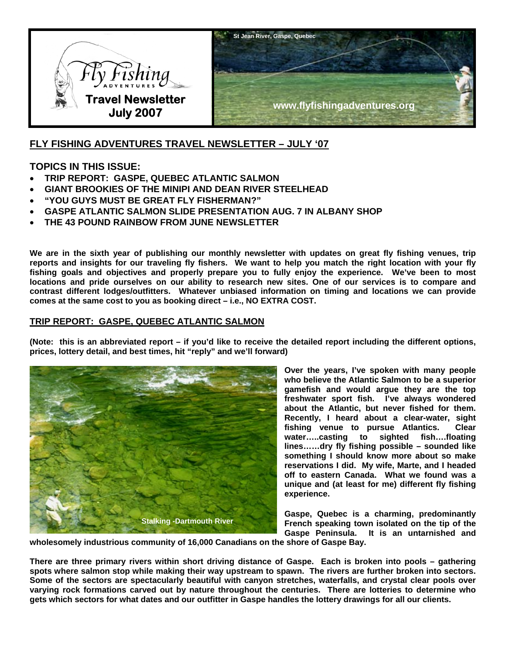

# **FLY FISHING ADVENTURES TRAVEL NEWSLETTER – JULY '07**

# **TOPICS IN THIS ISSUE:**

- **TRIP REPORT: GASPE, QUEBEC ATLANTIC SALMON**
- **GIANT BROOKIES OF THE MINIPI AND DEAN RIVER STEELHEAD**
- **"YOU GUYS MUST BE GREAT FLY FISHERMAN?"**
- **GASPE ATLANTIC SALMON SLIDE PRESENTATION AUG. 7 IN ALBANY SHOP**
- **THE 43 POUND RAINBOW FROM JUNE NEWSLETTER**

**We are in the sixth year of publishing our monthly newsletter with updates on great fly fishing venues, trip reports and insights for our traveling fly fishers. We want to help you match the right location with your fly fishing goals and objectives and properly prepare you to fully enjoy the experience. We've been to most locations and pride ourselves on our ability to research new sites. One of our services is to compare and contrast different lodges/outfitters. Whatever unbiased information on timing and locations we can provide comes at the same cost to you as booking direct – i.e., NO EXTRA COST.** 

### **TRIP REPORT: GASPE, QUEBEC ATLANTIC SALMON**

**(Note: this is an abbreviated report – if you'd like to receive the detailed report including the different options, prices, lottery detail, and best times, hit "reply" and we'll forward)** 



**Over the years, I've spoken with many people who believe the Atlantic Salmon to be a superior gamefish and would argue they are the top freshwater sport fish. I've always wondered about the Atlantic, but never fished for them. Recently, I heard about a clear-water, sight fishing venue to pursue Atlantics. Clear water…..casting to sighted fish….floating lines……dry fly fishing possible – sounded like something I should know more about so make reservations I did. My wife, Marte, and I headed off to eastern Canada. What we found was a unique and (at least for me) different fly fishing experience.** 

**Gaspe, Quebec is a charming, predominantly French speaking town isolated on the tip of the Gaspe Peninsula. It is an untarnished and** 

**wholesomely industrious community of 16,000 Canadians on the shore of Gaspe Bay.** 

**There are three primary rivers within short driving distance of Gaspe. Each is broken into pools – gathering spots where salmon stop while making their way upstream to spawn. The rivers are further broken into sectors. Some of the sectors are spectacularly beautiful with canyon stretches, waterfalls, and crystal clear pools over varying rock formations carved out by nature throughout the centuries. There are lotteries to determine who gets which sectors for what dates and our outfitter in Gaspe handles the lottery drawings for all our clients.**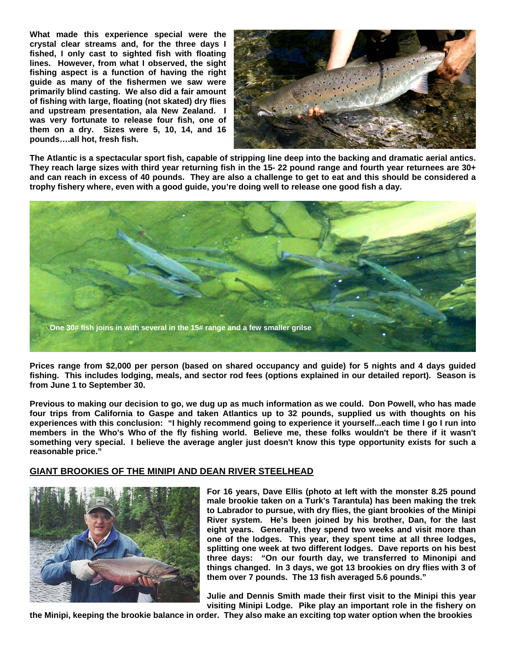**What made this experience special were the crystal clear streams and, for the three days I fished, I only cast to sighted fish with floating lines. However, from what I observed, the sight fishing aspect is a function of having the right guide as many of the fishermen we saw were primarily blind casting. We also did a fair amount of fishing with large, floating (not skated) dry flies and upstream presentation, ala New Zealand. I was very fortunate to release four fish, one of them on a dry. Sizes were 5, 10, 14, and 16 pounds….all hot, fresh fish.** 



**The Atlantic is a spectacular sport fish, capable of stripping line deep into the backing and dramatic aerial antics. They reach large sizes with third year returning fish in the 15- 22 pound range and fourth year returnees are 30+ and can reach in excess of 40 pounds. They are also a challenge to get to eat and this should be considered a trophy fishery where, even with a good guide, you're doing well to release one good fish a day.** 



**Prices range from \$2,000 per person (based on shared occupancy and guide) for 5 nights and 4 days guided fishing. This includes lodging, meals, and sector rod fees (options explained in our detailed report). Season is from June 1 to September 30.** 

**Previous to making our decision to go, we dug up as much information as we could. Don Powell, who has made four trips from California to Gaspe and taken Atlantics up to 32 pounds, supplied us with thoughts on his experiences with this conclusion: "I highly recommend going to experience it yourself...each time I go I run into members in the Who's Who of the fly fishing world. Believe me, these folks wouldn't be there if it wasn't something very special. I believe the average angler just doesn't know this type opportunity exists for such a reasonable price."** 

#### **GIANT BROOKIES OF THE MINIPI AND DEAN RIVER STEELHEAD**



**For 16 years, Dave Ellis (photo at left with the monster 8.25 pound male brookie taken on a Turk's Tarantula) has been making the trek to Labrador to pursue, with dry flies, the giant brookies of the Minipi River system. He's been joined by his brother, Dan, for the last eight years. Generally, they spend two weeks and visit more than one of the lodges. This year, they spent time at all three lodges, splitting one week at two different lodges. Dave reports on his best three days: "On our fourth day, we transferred to Minonipi and things changed. In 3 days, we got 13 brookies on dry flies with 3 of them over 7 pounds. The 13 fish averaged 5.6 pounds."** 

**Julie and Dennis Smith made their first visit to the Minipi this year visiting Minipi Lodge. Pike play an important role in the fishery on** 

**the Minipi, keeping the brookie balance in order. They also make an exciting top water option when the brookies**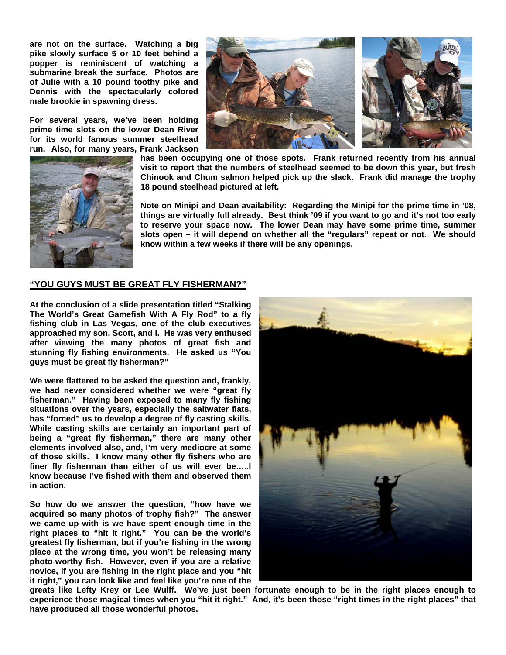**are not on the surface. Watching a big pike slowly surface 5 or 10 feet behind a popper is reminiscent of watching a submarine break the surface. Photos are of Julie with a 10 pound toothy pike and Dennis with the spectacularly colored male brookie in spawning dress.** 

**For several years, we've been holding prime time slots on the lower Dean River for its world famous summer steelhead run. Also, for many years, Frank Jackson** 





**has been occupying one of those spots. Frank returned recently from his annual visit to report that the numbers of steelhead seemed to be down this year, but fresh Chinook and Chum salmon helped pick up the slack. Frank did manage the trophy 18 pound steelhead pictured at left.** 

**Note on Minipi and Dean availability: Regarding the Minipi for the prime time in '08, things are virtually full already. Best think '09 if you want to go and it's not too early to reserve your space now. The lower Dean may have some prime time, summer slots open – it will depend on whether all the "regulars" repeat or not. We should know within a few weeks if there will be any openings.** 

#### **"YOU GUYS MUST BE GREAT FLY FISHERMAN?"**

**At the conclusion of a slide presentation titled "Stalking The World's Great Gamefish With A Fly Rod" to a fly fishing club in Las Vegas, one of the club executives approached my son, Scott, and I. He was very enthused after viewing the many photos of great fish and stunning fly fishing environments. He asked us "You guys must be great fly fisherman?"** 

**We were flattered to be asked the question and, frankly, we had never considered whether we were "great fly fisherman." Having been exposed to many fly fishing situations over the years, especially the saltwater flats, has "forced" us to develop a degree of fly casting skills. While casting skills are certainly an important part of being a "great fly fisherman," there are many other elements involved also, and, I'm very mediocre at some of those skills. I know many other fly fishers who are finer fly fisherman than either of us will ever be…..I know because I've fished with them and observed them in action.** 

**So how do we answer the question, "how have we acquired so many photos of trophy fish?" The answer we came up with is we have spent enough time in the right places to "hit it right." You can be the world's greatest fly fisherman, but if you're fishing in the wrong place at the wrong time, you won't be releasing many photo-worthy fish. However, even if you are a relative novice, if you are fishing in the right place and you "hit it right," you can look like and feel like you're one of the** 



**greats like Lefty Krey or Lee Wulff. We've just been fortunate enough to be in the right places enough to experience those magical times when you "hit it right." And, it's been those "right times in the right places" that have produced all those wonderful photos.**